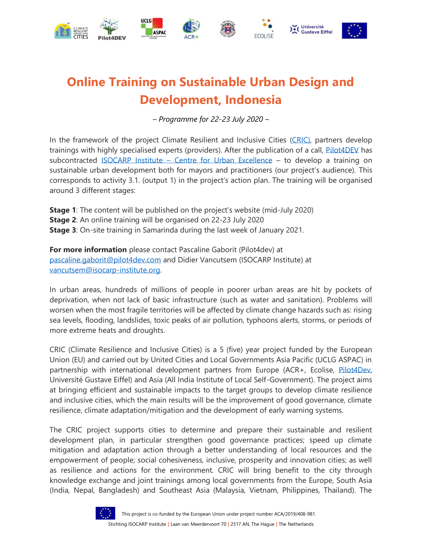

# **Online Training on Sustainable Urban Design and Development, Indonesia**

*– Programme for 22-23 July 2020 –*

In the framework of the project Climate Resilient and Inclusive Cities [\(CRIC\),](https://resilient-cities.com/en/) partners develop trainings with highly specialised experts (providers). After the publication of a call, [Pilot4DEV](https://www.pilot4dev.com/) has subcontracted ISOCARP Institute – [Centre for Urban Excellence](https://www.isocarp-institute.org/) – to develop a training on sustainable urban development both for mayors and practitioners (our project's audience). This corresponds to activity 3.1. (output 1) in the project's action plan. The training will be organised around 3 different stages:

**Stage 1**: The content will be published on the project's website (mid-July 2020) **Stage 2**: An online training will be organised on 22-23 July 2020 **Stage 3**: On-site training in Samarinda during the last week of January 2021.

**For more information** please contact Pascaline Gaborit (Pilot4dev) at [pascaline.gaborit@pilot4dev.com](mailto:pascaline.gaborit@pilot4dev.com) and Didier Vancutsem (ISOCARP Institute) at [vancutsem@isocarp-institute.org.](mailto:vancutsem@isocarp-institute.org)

In urban areas, hundreds of millions of people in poorer urban areas are hit by pockets of deprivation, when not lack of basic infrastructure (such as water and sanitation). Problems will worsen when the most fragile territories will be affected by climate change hazards such as: rising sea levels, flooding, landslides, toxic peaks of air pollution, typhoons alerts, storms, or periods of more extreme heats and droughts.

CRIC (Climate Resilience and Inclusive Cities) is a 5 (five) year project funded by the European Union (EU) and carried out by United Cities and Local Governments Asia Pacific (UCLG ASPAC) in partnership with international development partners from Europe (ACR+, Ecolise, [Pilot4Dev,](http://www.pilot4dev.com/) Université Gustave Eiffel) and Asia (All India Institute of Local Self-Government). The project aims at bringing efficient and sustainable impacts to the target groups to develop climate resilience and inclusive cities, which the main results will be the improvement of good governance, climate resilience, climate adaptation/mitigation and the development of early warning systems.

The CRIC project supports cities to determine and prepare their sustainable and resilient development plan, in particular strengthen good governance practices; speed up climate mitigation and adaptation action through a better understanding of local resources and the empowerment of people; social cohesiveness, inclusive, prosperity and innovation cities; as well as resilience and actions for the environment. CRIC will bring benefit to the city through knowledge exchange and joint trainings among local governments from the Europe, South Asia (India, Nepal, Bangladesh) and Southeast Asia (Malaysia, Vietnam, Philippines, Thailand). The

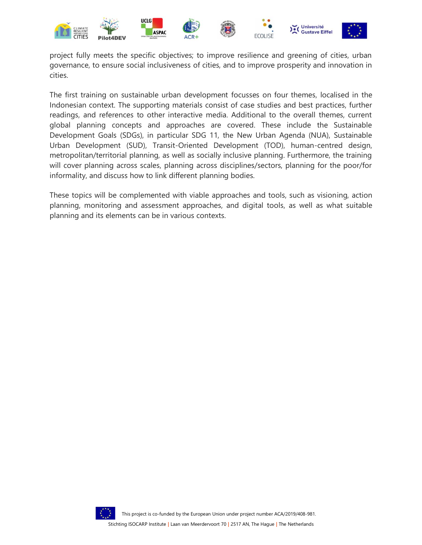

project fully meets the specific objectives; to improve resilience and greening of cities, urban governance, to ensure social inclusiveness of cities, and to improve prosperity and innovation in cities.

The first training on sustainable urban development focusses on four themes, localised in the Indonesian context. The supporting materials consist of case studies and best practices, further readings, and references to other interactive media. Additional to the overall themes, current global planning concepts and approaches are covered. These include the Sustainable Development Goals (SDGs), in particular SDG 11, the New Urban Agenda (NUA), Sustainable Urban Development (SUD), Transit-Oriented Development (TOD), human-centred design, metropolitan/territorial planning, as well as socially inclusive planning. Furthermore, the training will cover planning across scales, planning across disciplines/sectors, planning for the poor/for informality, and discuss how to link different planning bodies.

These topics will be complemented with viable approaches and tools, such as visioning, action planning, monitoring and assessment approaches, and digital tools, as well as what suitable planning and its elements can be in various contexts.



This project is co-funded by the European Union under project number ACA/2019/408-981.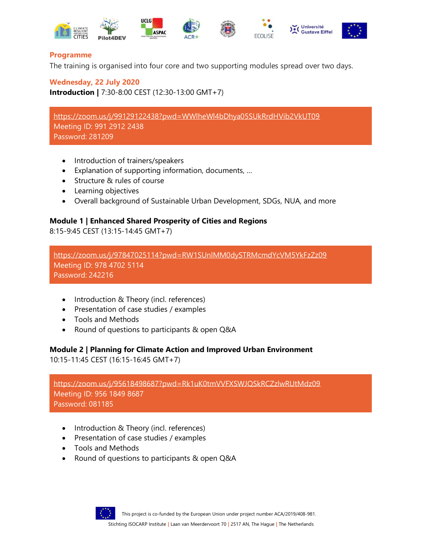

#### **Programme**

The training is organised into four core and two supporting modules spread over two days.

**Wednesday, 22 July 2020 Introduction |** 7:30-8:00 CEST (12:30-13:00 GMT+7)

<https://zoom.us/j/99129122438?pwd=WWlheWl4bDhya05SUkRrdHVib2VkUT09> Meeting ID: 991 2912 2438 Password: 281209

- Introduction of trainers/speakers
- Explanation of supporting information, documents, …
- Structure & rules of course
- Learning objectives
- Overall background of Sustainable Urban Development, SDGs, NUA, and more

#### **Module 1 | Enhanced Shared Prosperity of Cities and Regions**

8:15-9:45 CEST (13:15-14:45 GMT+7)

<https://zoom.us/j/97847025114?pwd=RW1SUnlMM0dySTRMcmdYcVM5YkFzZz09> Meeting ID: 978 4702 5114 Password: 242216

- Introduction & Theory (incl. references)
- Presentation of case studies / examples
- Tools and Methods
- Round of questions to participants & open Q&A

#### **Module 2 | Planning for Climate Action and Improved Urban Environment**

10:15-11:45 CEST (16:15-16:45 GMT+7)

<https://zoom.us/j/95618498687?pwd=Rk1uK0tmVVFXSWJQSkRCZzlwRUtMdz09> Meeting ID: 956 1849 8687 Password: 081185

- Introduction & Theory (incl. references)
- Presentation of case studies / examples
- Tools and Methods
- Round of questions to participants & open Q&A



This project is co-funded by the European Union under project number ACA/2019/408-981. Stichting ISOCARP Institute **|** Laan van Meerdervoort 70 **|** 2517 AN, The Hague **|** The Netherlands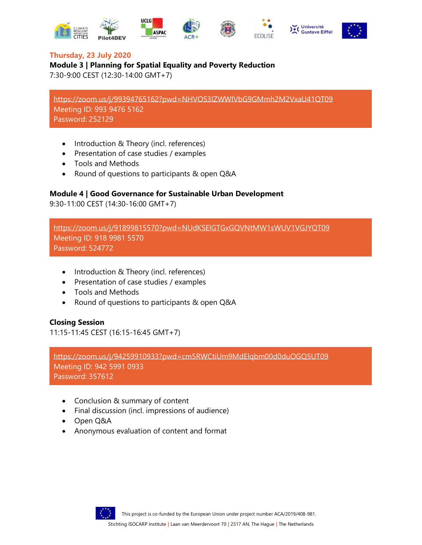



# **Thursday, 23 July 2020**

# **Module 3 | Planning for Spatial Equality and Poverty Reduction**

7:30-9:00 CEST (12:30-14:00 GMT+7)

<https://zoom.us/j/99394765162?pwd=NHVOS3lZWWlVbG9GMmh2M2VxaU41QT09> Meeting ID: 993 9476 5162 Password: 252129

- Introduction & Theory (incl. references)
- Presentation of case studies / examples
- Tools and Methods
- Round of questions to participants & open Q&A

# **Module 4 | Good Governance for Sustainable Urban Development**

9:30-11:00 CEST (14:30-16:00 GMT+7)

<https://zoom.us/j/91899815570?pwd=NUdKSElGTGxGQVNtMW1sWUV1VGJYQT09> Meeting ID: 918 9981 5570 Password: 524772

- Introduction & Theory (incl. references)
- Presentation of case studies / examples
- Tools and Methods
- Round of questions to participants & open Q&A

# **Closing Session**

11:15-11:45 CEST (16:15-16:45 GMT+7)

<https://zoom.us/j/94259910933?pwd=cm5RWCtiUm9MdElqbm00d0duOGQ5UT09>

Meeting ID: 942 5991 0933 Password: 357612

- Conclusion & summary of content
- Final discussion (incl. impressions of audience)
- Open Q&A
- Anonymous evaluation of content and format



This project is co-funded by the European Union under project number ACA/2019/408-981.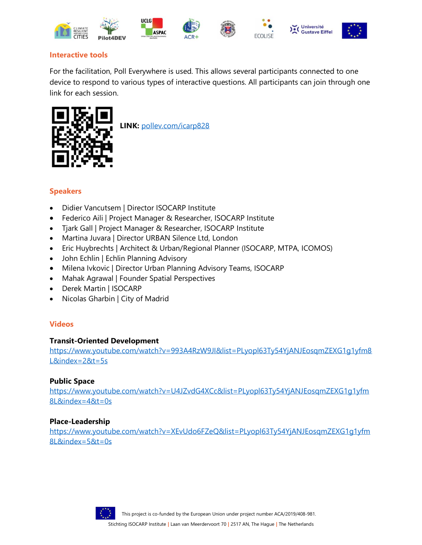

# **Interactive tools**

For the facilitation, Poll Everywhere is used. This allows several participants connected to one device to respond to various types of interactive questions. All participants can join through one link for each session.



 **LINK:** [pollev.com/icarp828](http://www.pollev.com/icarp828)

# **Speakers**

- Didier Vancutsem | Director ISOCARP Institute
- Federico Aili | Project Manager & Researcher, ISOCARP Institute
- Tjark Gall | Project Manager & Researcher, ISOCARP Institute
- Martina Juvara | Director URBAN Silence Ltd, London
- Eric Huybrechts | Architect & Urban/Regional Planner (ISOCARP, MTPA, ICOMOS)
- John Echlin | Echlin Planning Advisory
- Milena Ivkovic | Director Urban Planning Advisory Teams, ISOCARP
- Mahak Agrawal | Founder Spatial Perspectives
- Derek Martin | ISOCARP
- Nicolas Gharbin | City of Madrid

#### **Videos**

#### **Transit-Oriented Development**

[https://www.youtube.com/watch?v=993A4RzW9JI&list=PLyopl63Ty54YjANJEosqmZEXG1g1yfm8](https://www.youtube.com/watch?v=993A4RzW9JI&list=PLyopl63Ty54YjANJEosqmZEXG1g1yfm8L&index=2&t=5s) [L&index=2&t=5s](https://www.youtube.com/watch?v=993A4RzW9JI&list=PLyopl63Ty54YjANJEosqmZEXG1g1yfm8L&index=2&t=5s)

#### **Public Space**

[https://www.youtube.com/watch?v=U4JZvdG4XCc&list=PLyopl63Ty54YjANJEosqmZEXG1g1yfm](https://www.youtube.com/watch?v=U4JZvdG4XCc&list=PLyopl63Ty54YjANJEosqmZEXG1g1yfm8L&index=4&t=0s) [8L&index=4&t=0s](https://www.youtube.com/watch?v=U4JZvdG4XCc&list=PLyopl63Ty54YjANJEosqmZEXG1g1yfm8L&index=4&t=0s)

#### **Place-Leadership**

[https://www.youtube.com/watch?v=XEvUdo6FZeQ&list=PLyopl63Ty54YjANJEosqmZEXG1g1yfm](https://www.youtube.com/watch?v=XEvUdo6FZeQ&list=PLyopl63Ty54YjANJEosqmZEXG1g1yfm8L&index=5&t=0s) [8L&index=5&t=0s](https://www.youtube.com/watch?v=XEvUdo6FZeQ&list=PLyopl63Ty54YjANJEosqmZEXG1g1yfm8L&index=5&t=0s)



This project is co-funded by the European Union under project number ACA/2019/408-981.